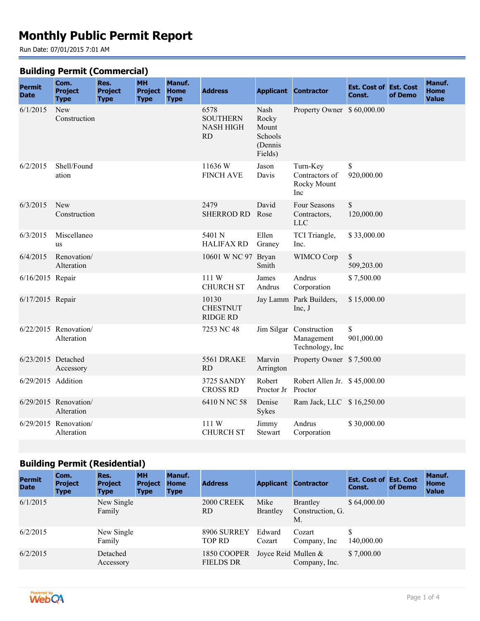# **Monthly Public Permit Report**

Run Date: 07/01/2015 7:01 AM

#### **Building Permit (Commercial)**

|                              | Com.                                  | Res.                          | <b>MH</b>                     | Manuf.                     |                                                   |                                                         |                                                          |                                         |         | Manuf.                      |
|------------------------------|---------------------------------------|-------------------------------|-------------------------------|----------------------------|---------------------------------------------------|---------------------------------------------------------|----------------------------------------------------------|-----------------------------------------|---------|-----------------------------|
| <b>Permit</b><br><b>Date</b> | <b>Project</b><br><b>Type</b>         | <b>Project</b><br><b>Type</b> | <b>Project</b><br><b>Type</b> | <b>Home</b><br><b>Type</b> | <b>Address</b>                                    |                                                         | <b>Applicant Contractor</b>                              | <b>Est. Cost of Est. Cost</b><br>Const. | of Demo | <b>Home</b><br><b>Value</b> |
| 6/1/2015                     | New<br>Construction                   |                               |                               |                            | 6578<br><b>SOUTHERN</b><br><b>NASH HIGH</b><br>RD | Nash<br>Rocky<br>Mount<br>Schools<br>(Dennis<br>Fields) | Property Owner \$60,000.00                               |                                         |         |                             |
| 6/2/2015                     | Shell/Found<br>ation                  |                               |                               |                            | 11636W<br><b>FINCH AVE</b>                        | Jason<br>Davis                                          | Turn-Key<br>Contractors of<br>Rocky Mount<br>Inc         | \$<br>920,000.00                        |         |                             |
| 6/3/2015                     | New<br>Construction                   |                               |                               |                            | 2479<br><b>SHERROD RD</b>                         | David<br>Rose                                           | Four Seasons<br>Contractors,<br><b>LLC</b>               | \$<br>120,000.00                        |         |                             |
| 6/3/2015                     | Miscellaneo<br><b>us</b>              |                               |                               |                            | 5401 N<br><b>HALIFAX RD</b>                       | Ellen<br>Graney                                         | TCI Triangle,<br>Inc.                                    | \$33,000.00                             |         |                             |
| 6/4/2015                     | Renovation/<br>Alteration             |                               |                               |                            | 10601 W NC 97 Bryan                               | Smith                                                   | WIMCO Corp                                               | \$<br>509,203.00                        |         |                             |
| 6/16/2015 Repair             |                                       |                               |                               |                            | 111W<br><b>CHURCH ST</b>                          | James<br>Andrus                                         | Andrus<br>Corporation                                    | \$7,500.00                              |         |                             |
| 6/17/2015 Repair             |                                       |                               |                               |                            | 10130<br><b>CHESTNUT</b><br><b>RIDGE RD</b>       |                                                         | Jay Lamm Park Builders,<br>Inc, J                        | \$15,000.00                             |         |                             |
|                              | $6/22/2015$ Renovation/<br>Alteration |                               |                               |                            | 7253 NC 48                                        |                                                         | Jim Silgar Construction<br>Management<br>Technology, Inc | \$<br>901,000.00                        |         |                             |
| $6/23/2015$ Detached         | Accessory                             |                               |                               |                            | 5561 DRAKE<br>RD.                                 | Marvin<br>Arrington                                     | Property Owner \$7,500.00                                |                                         |         |                             |
| 6/29/2015 Addition           |                                       |                               |                               |                            | 3725 SANDY<br><b>CROSS RD</b>                     | Robert<br>Proctor Jr                                    | Robert Allen Jr. \$45,000.00<br>Proctor                  |                                         |         |                             |
|                              | $6/29/2015$ Renovation/<br>Alteration |                               |                               |                            | 6410 N NC 58                                      | Denise<br>Sykes                                         | Ram Jack, LLC \$16,250.00                                |                                         |         |                             |
|                              | 6/29/2015 Renovation/<br>Alteration   |                               |                               |                            | 111 W<br><b>CHURCH ST</b>                         | Jimmy<br><b>Stewart</b>                                 | Andrus<br>Corporation                                    | \$30,000.00                             |         |                             |

## **Building Permit (Residential)**

| <b>Permit</b><br><b>Date</b> | Com.<br><b>Project</b><br><b>Type</b> | Res.<br><b>Project</b><br><b>Type</b> | <b>MH</b><br><b>Project</b><br><b>Type</b> | Manuf.<br><b>Home</b><br><b>Type</b> | <b>Address</b>                  | <b>Applicant</b>        | <b>Contractor</b>                         | <b>Est. Cost of Est. Cost</b><br>Const. | of Demo | Manuf.<br><b>Home</b><br><b>Value</b> |
|------------------------------|---------------------------------------|---------------------------------------|--------------------------------------------|--------------------------------------|---------------------------------|-------------------------|-------------------------------------------|-----------------------------------------|---------|---------------------------------------|
| 6/1/2015                     |                                       | New Single<br>Family                  |                                            |                                      | 2000 CREEK<br>RD.               | Mike<br><b>Brantley</b> | <b>Brantley</b><br>Construction, G.<br>M. | \$64,000.00                             |         |                                       |
| 6/2/2015                     |                                       | New Single<br>Family                  |                                            |                                      | 8906 SURREY<br>TOP RD           | Edward<br>Cozart        | Cozart<br>Company, Inc.                   | \$<br>140,000.00                        |         |                                       |
| 6/2/2015                     |                                       | Detached<br>Accessory                 |                                            |                                      | 1850 COOPER<br><b>FIELDS DR</b> | Joyce Reid Mullen &     | Company, Inc.                             | \$7,000.00                              |         |                                       |

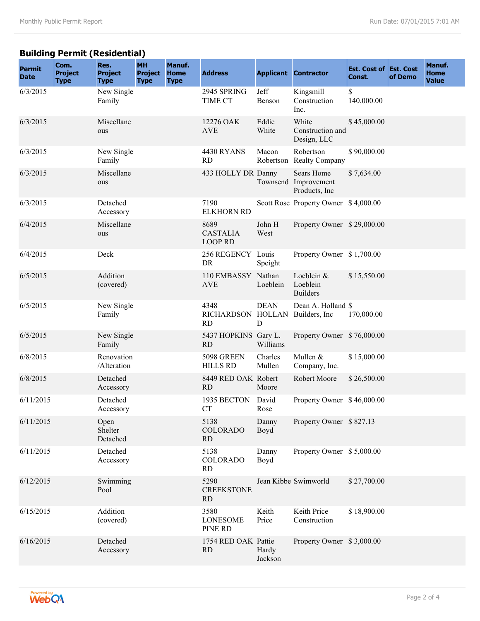### **Building Permit (Residential)**

| <b>Permit</b><br><b>Date</b> | Com.<br><b>Project</b><br><b>Type</b> | Res.<br><b>Project</b><br><b>Type</b> | <b>MH</b><br><b>Project</b><br><b>Type</b> | Manuf.<br><b>Home</b><br><b>Type</b> | <b>Address</b>                            |                                   | <b>Applicant Contractor</b>                          | <b>Est. Cost of Est. Cost</b><br>Const. | of Demo | Manuf.<br>Home<br><b>Value</b> |
|------------------------------|---------------------------------------|---------------------------------------|--------------------------------------------|--------------------------------------|-------------------------------------------|-----------------------------------|------------------------------------------------------|-----------------------------------------|---------|--------------------------------|
| 6/3/2015                     |                                       | New Single<br>Family                  |                                            |                                      | 2945 SPRING<br>TIME CT                    | Jeff<br>Benson                    | Kingsmill<br>Construction<br>Inc.                    | \$<br>140,000.00                        |         |                                |
| 6/3/2015                     |                                       | Miscellane<br>ous                     |                                            |                                      | 12276 OAK<br><b>AVE</b>                   | Eddie<br>White                    | White<br>Construction and<br>Design, LLC             | \$45,000.00                             |         |                                |
| 6/3/2015                     |                                       | New Single<br>Family                  |                                            |                                      | 4430 RYANS<br>RD                          | Macon<br>Robertson                | Robertson<br><b>Realty Company</b>                   | \$90,000.00                             |         |                                |
| 6/3/2015                     |                                       | Miscellane<br>ous                     |                                            |                                      | 433 HOLLY DR Danny                        |                                   | Sears Home<br>Townsend Improvement<br>Products, Inc. | \$7,634.00                              |         |                                |
| 6/3/2015                     |                                       | Detached<br>Accessory                 |                                            |                                      | 7190<br><b>ELKHORN RD</b>                 |                                   | Scott Rose Property Owner \$4,000.00                 |                                         |         |                                |
| 6/4/2015                     |                                       | Miscellane<br>ous                     |                                            |                                      | 8689<br><b>CASTALIA</b><br><b>LOOP RD</b> | John H<br>West                    | Property Owner \$29,000.00                           |                                         |         |                                |
| 6/4/2015                     |                                       | Deck                                  |                                            |                                      | 256 REGENCY Louis<br><b>DR</b>            | Speight                           | Property Owner \$1,700.00                            |                                         |         |                                |
| 6/5/2015                     |                                       | Addition<br>(covered)                 |                                            |                                      | 110 EMBASSY<br><b>AVE</b>                 | Nathan<br>Loeblein                | Loeblein &<br>Loeblein<br><b>Builders</b>            | \$15,550.00                             |         |                                |
| 6/5/2015                     |                                       | New Single<br>Family                  |                                            |                                      | 4348<br><b>RICHARDSON</b><br><b>RD</b>    | <b>DEAN</b><br><b>HOLLAN</b><br>D | Dean A. Holland \$<br>Builders, Inc.                 | 170,000.00                              |         |                                |
| 6/5/2015                     |                                       | New Single<br>Family                  |                                            |                                      | 5437 HOPKINS Gary L.<br><b>RD</b>         | Williams                          | Property Owner \$76,000.00                           |                                         |         |                                |
| 6/8/2015                     |                                       | Renovation<br>/Alteration             |                                            |                                      | <b>5098 GREEN</b><br><b>HILLS RD</b>      | Charles<br>Mullen                 | Mullen &<br>Company, Inc.                            | \$15,000.00                             |         |                                |
| 6/8/2015                     |                                       | Detached<br>Accessory                 |                                            |                                      | 8449 RED OAK Robert<br><b>RD</b>          | Moore                             | Robert Moore                                         | \$26,500.00                             |         |                                |
| 6/11/2015                    |                                       | Detached<br>Accessory                 |                                            |                                      | 1935 BECTON<br><b>CT</b>                  | David<br>Rose                     | Property Owner \$46,000.00                           |                                         |         |                                |
| 6/11/2015                    |                                       | Open<br>Shelter<br>Detached           |                                            |                                      | 5138<br><b>COLORADO</b><br>RD             | Danny<br>Boyd                     | Property Owner \$827.13                              |                                         |         |                                |
| 6/11/2015                    |                                       | Detached<br>Accessory                 |                                            |                                      | 5138<br><b>COLORADO</b><br><b>RD</b>      | Danny<br>Boyd                     | Property Owner \$5,000.00                            |                                         |         |                                |
| 6/12/2015                    |                                       | Swimming<br>Pool                      |                                            |                                      | 5290<br><b>CREEKSTONE</b><br><b>RD</b>    |                                   | Jean Kibbe Swimworld                                 | \$27,700.00                             |         |                                |
| 6/15/2015                    |                                       | Addition<br>(covered)                 |                                            |                                      | 3580<br><b>LONESOME</b><br>PINE RD        | Keith<br>Price                    | Keith Price<br>Construction                          | \$18,900.00                             |         |                                |
| 6/16/2015                    |                                       | Detached<br>Accessory                 |                                            |                                      | 1754 RED OAK Pattie<br><b>RD</b>          | Hardy<br>Jackson                  | Property Owner \$3,000.00                            |                                         |         |                                |

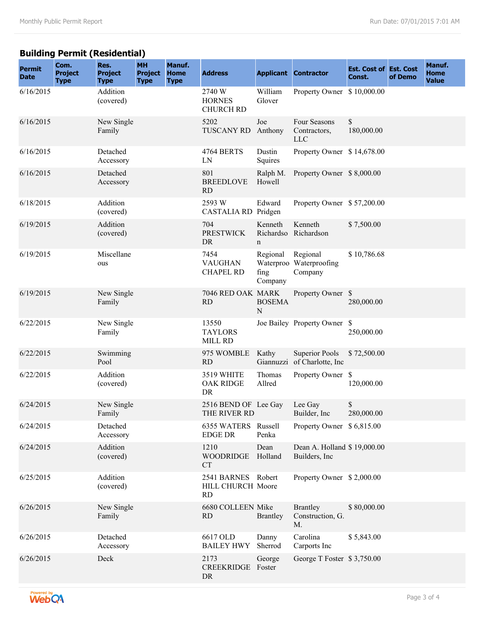### **Building Permit (Residential)**

| <b>Permit</b><br><b>Date</b> | Com.<br><b>Project</b><br><b>Type</b> | Res.<br><b>Project</b><br><b>Type</b> | <b>MH</b><br><b>Project</b><br><b>Type</b> | Manuf.<br><b>Home</b><br><b>Type</b> | <b>Address</b>                                       |                             | <b>Applicant Contractor</b>                           | <b>Est. Cost of Est. Cost</b><br>Const. | of Demo | Manuf.<br><b>Home</b><br><b>Value</b> |
|------------------------------|---------------------------------------|---------------------------------------|--------------------------------------------|--------------------------------------|------------------------------------------------------|-----------------------------|-------------------------------------------------------|-----------------------------------------|---------|---------------------------------------|
| 6/16/2015                    |                                       | Addition<br>(covered)                 |                                            |                                      | 2740 W<br><b>HORNES</b><br><b>CHURCH RD</b>          | William<br>Glover           | Property Owner \$10,000.00                            |                                         |         |                                       |
| 6/16/2015                    |                                       | New Single<br>Family                  |                                            |                                      | 5202<br><b>TUSCANY RD</b>                            | Joe<br>Anthony              | Four Seasons<br>Contractors,<br><b>LLC</b>            | \$<br>180,000.00                        |         |                                       |
| 6/16/2015                    |                                       | Detached<br>Accessory                 |                                            |                                      | 4764 BERTS<br>LN                                     | Dustin<br>Squires           | Property Owner \$14,678.00                            |                                         |         |                                       |
| 6/16/2015                    |                                       | Detached<br>Accessory                 |                                            |                                      | 801<br><b>BREEDLOVE</b><br><b>RD</b>                 | Ralph M.<br>Howell          | Property Owner \$8,000.00                             |                                         |         |                                       |
| 6/18/2015                    |                                       | Addition<br>(covered)                 |                                            |                                      | 2593 W<br>CASTALIA RD Pridgen                        | Edward                      | Property Owner \$57,200.00                            |                                         |         |                                       |
| 6/19/2015                    |                                       | Addition<br>(covered)                 |                                            |                                      | 704<br><b>PRESTWICK</b><br><b>DR</b>                 | Kenneth<br>$\mathbf n$      | Kenneth<br>Richardso Richardson                       | \$7,500.00                              |         |                                       |
| 6/19/2015                    |                                       | Miscellane<br>ous                     |                                            |                                      | 7454<br><b>VAUGHAN</b><br><b>CHAPEL RD</b>           | Regional<br>fing<br>Company | Regional<br>Waterproo Waterproofing<br>Company        | \$10,786.68                             |         |                                       |
| 6/19/2015                    |                                       | New Single<br>Family                  |                                            |                                      | 7046 RED OAK MARK<br>RD                              | <b>BOSEMA</b><br>N          | Property Owner \$                                     | 280,000.00                              |         |                                       |
| 6/22/2015                    |                                       | New Single<br>Family                  |                                            |                                      | 13550<br><b>TAYLORS</b><br>MILL RD                   |                             | Joe Bailey Property Owner \$                          | 250,000.00                              |         |                                       |
| 6/22/2015                    |                                       | Swimming<br>Pool                      |                                            |                                      | 975 WOMBLE<br><b>RD</b>                              | Kathy                       | <b>Superior Pools</b><br>Giannuzzi of Charlotte, Inc. | \$72,500.00                             |         |                                       |
| 6/22/2015                    |                                       | Addition<br>(covered)                 |                                            |                                      | 3519 WHITE<br><b>OAK RIDGE</b><br>DR                 | Thomas<br>Allred            | Property Owner \$                                     | 120,000.00                              |         |                                       |
| 6/24/2015                    |                                       | New Single<br>Family                  |                                            |                                      | 2516 BEND OF Lee Gay<br>THE RIVER RD                 |                             | Lee Gay<br>Builder, Inc.                              | \$<br>280,000.00                        |         |                                       |
| 6/24/2015                    |                                       | Detached<br>Accessory                 |                                            |                                      | 6355 WATERS Russell<br><b>EDGE DR</b>                | Penka                       | Property Owner \$6,815.00                             |                                         |         |                                       |
| 6/24/2015                    |                                       | Addition<br>(covered)                 |                                            |                                      | 1210<br><b>WOODRIDGE</b><br><b>CT</b>                | Dean<br>Holland             | Dean A. Holland \$19,000.00<br>Builders, Inc.         |                                         |         |                                       |
| 6/25/2015                    |                                       | Addition<br>(covered)                 |                                            |                                      | 2541 BARNES Robert<br>HILL CHURCH Moore<br><b>RD</b> |                             | Property Owner \$2,000.00                             |                                         |         |                                       |
| 6/26/2015                    |                                       | New Single<br>Family                  |                                            |                                      | 6680 COLLEEN Mike<br><b>RD</b>                       | Brantley                    | <b>Brantley</b><br>Construction, G.<br>M.             | \$80,000.00                             |         |                                       |
| 6/26/2015                    |                                       | Detached<br>Accessory                 |                                            |                                      | 6617 OLD<br><b>BAILEY HWY</b>                        | Danny<br>Sherrod            | Carolina<br>Carports Inc                              | \$5,843.00                              |         |                                       |
| 6/26/2015                    |                                       | Deck                                  |                                            |                                      | 2173<br>CREEKRIDGE Foster<br>DR                      | George                      | George T Foster \$3,750.00                            |                                         |         |                                       |